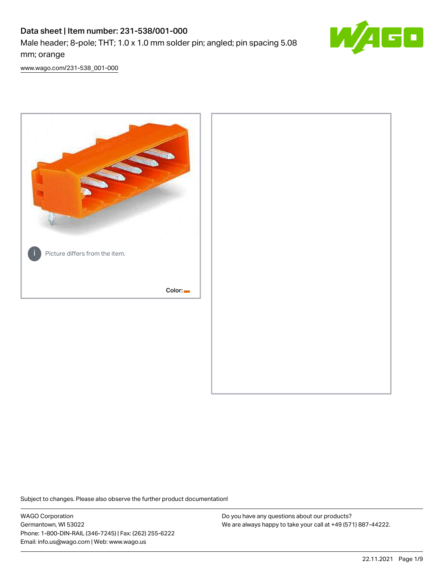# Data sheet | Item number: 231-538/001-000 Male header; 8-pole; THT; 1.0 x 1.0 mm solder pin; angled; pin spacing 5.08 mm; orange



[www.wago.com/231-538\\_001-000](http://www.wago.com/231-538_001-000)



Subject to changes. Please also observe the further product documentation!

WAGO Corporation Germantown, WI 53022 Phone: 1-800-DIN-RAIL (346-7245) | Fax: (262) 255-6222 Email: info.us@wago.com | Web: www.wago.us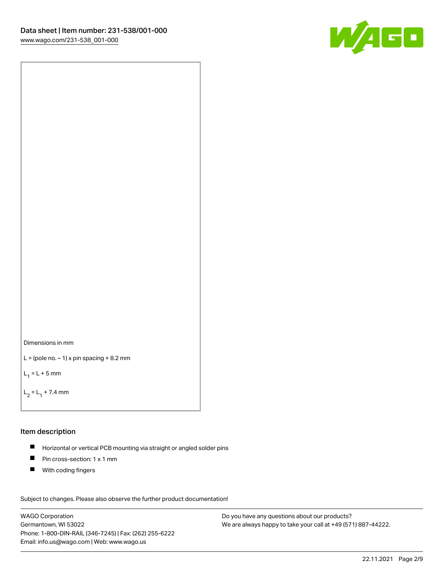



```
L = (pole no. -1) x pin spacing +8.2 mm
```
 $L_1 = L + 5$  mm

```
L_2 = L_1 + 7.4 mm
```
#### Item description

- Horizontal or vertical PCB mounting via straight or angled solder pins  $\blacksquare$
- $\blacksquare$ Pin cross-section: 1 x 1 mm
- $\blacksquare$ With coding fingers

Subject to changes. Please also observe the further product documentation! Data

WAGO Corporation Germantown, WI 53022 Phone: 1-800-DIN-RAIL (346-7245) | Fax: (262) 255-6222 Email: info.us@wago.com | Web: www.wago.us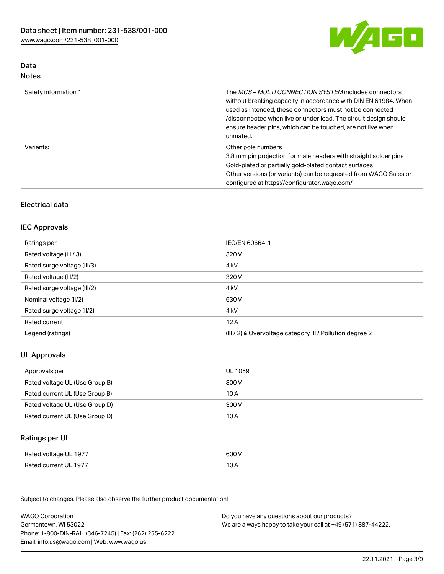

### Data Notes

| Safety information 1 | The <i>MCS – MULTI CONNECTION SYSTEM</i> includes connectors<br>without breaking capacity in accordance with DIN EN 61984. When<br>used as intended, these connectors must not be connected<br>/disconnected when live or under load. The circuit design should<br>ensure header pins, which can be touched, are not live when<br>unmated. |
|----------------------|--------------------------------------------------------------------------------------------------------------------------------------------------------------------------------------------------------------------------------------------------------------------------------------------------------------------------------------------|
| Variants:            | Other pole numbers<br>3.8 mm pin projection for male headers with straight solder pins<br>Gold-plated or partially gold-plated contact surfaces<br>Other versions (or variants) can be requested from WAGO Sales or<br>configured at https://configurator.wago.com/                                                                        |

### Electrical data

### IEC Approvals

| Ratings per                 | IEC/EN 60664-1                                                        |
|-----------------------------|-----------------------------------------------------------------------|
| Rated voltage (III / 3)     | 320 V                                                                 |
| Rated surge voltage (III/3) | 4 <sub>kV</sub>                                                       |
| Rated voltage (III/2)       | 320 V                                                                 |
| Rated surge voltage (III/2) | 4 <sub>kV</sub>                                                       |
| Nominal voltage (II/2)      | 630 V                                                                 |
| Rated surge voltage (II/2)  | 4 <sub>k</sub> V                                                      |
| Rated current               | 12A                                                                   |
| Legend (ratings)            | $(III / 2)$ $\triangle$ Overvoltage category III / Pollution degree 2 |

### UL Approvals

| Approvals per                  | UL 1059 |
|--------------------------------|---------|
| Rated voltage UL (Use Group B) | 300 V   |
| Rated current UL (Use Group B) | 10 A    |
| Rated voltage UL (Use Group D) | 300 V   |
| Rated current UL (Use Group D) | 10 A    |

### Ratings per UL

| Rated voltage UL 1977 | 600 V |
|-----------------------|-------|
| Rated current UL 1977 | 10 A  |

| <b>WAGO Corporation</b>                                | Do you have any questions about our products?                 |
|--------------------------------------------------------|---------------------------------------------------------------|
| Germantown, WI 53022                                   | We are always happy to take your call at +49 (571) 887-44222. |
| Phone: 1-800-DIN-RAIL (346-7245)   Fax: (262) 255-6222 |                                                               |
| Email: info.us@wago.com   Web: www.wago.us             |                                                               |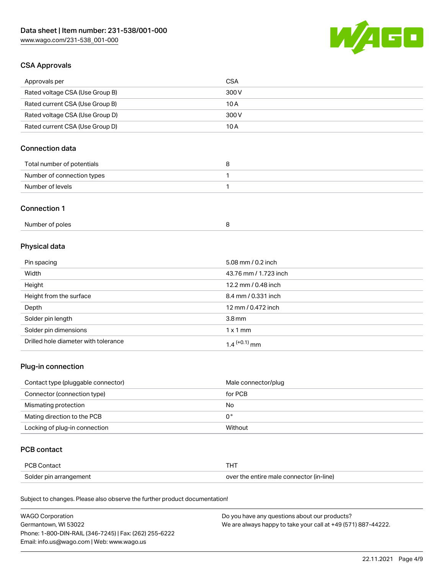

### CSA Approvals

| Approvals per                   | CSA   |
|---------------------------------|-------|
| Rated voltage CSA (Use Group B) | 300 V |
| Rated current CSA (Use Group B) | 10 A  |
| Rated voltage CSA (Use Group D) | 300 V |
| Rated current CSA (Use Group D) | 10 A  |

### Connection data

| Total number of potentials |  |
|----------------------------|--|
| Number of connection types |  |
| Number of levels           |  |

#### Connection 1

| Number of poles |  |
|-----------------|--|
|-----------------|--|

# Physical data

| Pin spacing                          | 5.08 mm / 0.2 inch    |
|--------------------------------------|-----------------------|
| Width                                | 43.76 mm / 1.723 inch |
| Height                               | 12.2 mm / 0.48 inch   |
| Height from the surface              | 8.4 mm / 0.331 inch   |
| Depth                                | 12 mm / 0.472 inch    |
| Solder pin length                    | 3.8 <sub>mm</sub>     |
| Solder pin dimensions                | $1 \times 1$ mm       |
| Drilled hole diameter with tolerance | $1.4$ $(+0.1)$ mm     |

### Plug-in connection

| Contact type (pluggable connector) | Male connector/plug |
|------------------------------------|---------------------|
| Connector (connection type)        | for PCB             |
| Mismating protection               | No                  |
| Mating direction to the PCB        | 0°                  |
| Locking of plug-in connection      | Without             |

### PCB contact

| PCB Contact            | тнт                                      |
|------------------------|------------------------------------------|
| Solder pin arrangement | over the entire male connector (in-line) |

| <b>WAGO Corporation</b>                                | Do you have any questions about our products?                 |
|--------------------------------------------------------|---------------------------------------------------------------|
| Germantown, WI 53022                                   | We are always happy to take your call at +49 (571) 887-44222. |
| Phone: 1-800-DIN-RAIL (346-7245)   Fax: (262) 255-6222 |                                                               |
| Email: info.us@wago.com   Web: www.wago.us             |                                                               |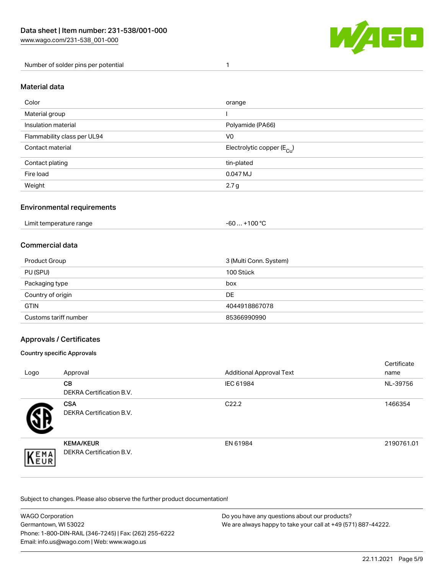

Number of solder pins per potential 1

#### Material data

| Color                       | orange                                 |
|-----------------------------|----------------------------------------|
| Material group              |                                        |
| Insulation material         | Polyamide (PA66)                       |
| Flammability class per UL94 | V <sub>0</sub>                         |
| Contact material            | Electrolytic copper (E <sub>Cu</sub> ) |
| Contact plating             | tin-plated                             |
| Fire load                   | 0.047 MJ                               |
| Weight                      | 2.7 <sub>g</sub>                       |

#### Environmental requirements

Limit temperature range  $-60... +100$  °C

#### Commercial data

| Product Group         | 3 (Multi Conn. System) |
|-----------------------|------------------------|
| PU (SPU)              | 100 Stück              |
| Packaging type        | box                    |
| Country of origin     | DE                     |
| <b>GTIN</b>           | 4044918867078          |
| Customs tariff number | 85366990990            |

### Approvals / Certificates

#### Country specific Approvals

| Logo               | Approval                                            | <b>Additional Approval Text</b> | Certificate<br>name |
|--------------------|-----------------------------------------------------|---------------------------------|---------------------|
|                    | <b>CB</b><br><b>DEKRA Certification B.V.</b>        | IEC 61984                       | NL-39756            |
|                    | <b>CSA</b><br>DEKRA Certification B.V.              | C <sub>22.2</sub>               | 1466354             |
| EMA<br><b>NEUR</b> | <b>KEMA/KEUR</b><br><b>DEKRA Certification B.V.</b> | EN 61984                        | 2190761.01          |

| <b>WAGO Corporation</b>                                | Do you have any questions about our products?                 |
|--------------------------------------------------------|---------------------------------------------------------------|
| Germantown, WI 53022                                   | We are always happy to take your call at +49 (571) 887-44222. |
| Phone: 1-800-DIN-RAIL (346-7245)   Fax: (262) 255-6222 |                                                               |
| Email: info.us@wago.com   Web: www.wago.us             |                                                               |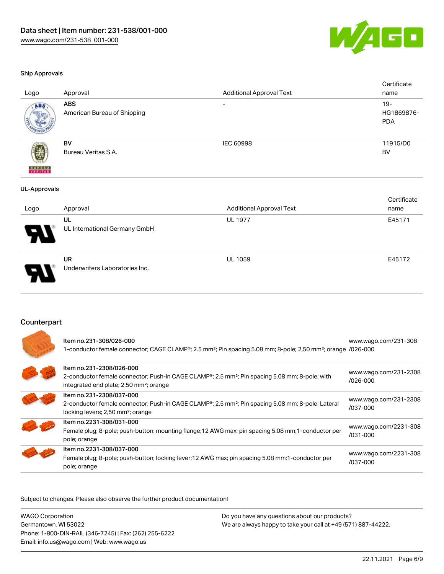

UL 1059 E45172

#### Ship Approvals

| Logo                | Approval                                  | <b>Additional Approval Text</b> | Certificate<br>name                |
|---------------------|-------------------------------------------|---------------------------------|------------------------------------|
| ABS.                | <b>ABS</b><br>American Bureau of Shipping | $\overline{\phantom{a}}$        | $19 -$<br>HG1869876-<br><b>PDA</b> |
| <b>BUNEAU</b>       | BV<br>Bureau Veritas S.A.                 | IEC 60998                       | 11915/D0<br>BV                     |
| <b>UL-Approvals</b> |                                           |                                 |                                    |
| Logo                | Approval                                  | <b>Additional Approval Text</b> | Certificate<br>name                |
|                     | UL<br>UL International Germany GmbH       | <b>UL 1977</b>                  | E45171                             |

UR Underwriters Laboratories Inc.

### Counterpart

| ltem no.231-308/026-000<br>1-conductor female connector; CAGE CLAMP®; 2.5 mm <sup>2</sup> ; Pin spacing 5.08 mm; 8-pole; 2,50 mm <sup>2</sup> ; orange /026-000                               | www.wago.com/231-308                  |
|-----------------------------------------------------------------------------------------------------------------------------------------------------------------------------------------------|---------------------------------------|
| Item no.231-2308/026-000<br>2-conductor female connector; Push-in CAGE CLAMP®; 2.5 mm <sup>2</sup> ; Pin spacing 5.08 mm; 8-pole; with<br>integrated end plate; 2,50 mm <sup>2</sup> ; orange | www.wago.com/231-2308<br>$1026 - 000$ |
| Item no.231-2308/037-000<br>2-conductor female connector; Push-in CAGE CLAMP®; 2.5 mm <sup>2</sup> ; Pin spacing 5.08 mm; 8-pole; Lateral<br>locking levers; 2,50 mm <sup>2</sup> ; orange    | www.wago.com/231-2308<br>/037-000     |
| Item no.2231-308/031-000<br>Female plug; 8-pole; push-button; mounting flange; 12 AWG max; pin spacing 5.08 mm; 1-conductor per<br>pole; orange                                               | www.wago.com/2231-308<br>$/031 - 000$ |
| Item no.2231-308/037-000<br>Female plug; 8-pole; push-button; locking lever; 12 AWG max; pin spacing 5.08 mm; 1-conductor per<br>pole; orange                                                 | www.wago.com/2231-308<br>/037-000     |

| <b>WAGO Corporation</b>                                | Do you have any questions about our products?                 |
|--------------------------------------------------------|---------------------------------------------------------------|
| Germantown, WI 53022                                   | We are always happy to take your call at +49 (571) 887-44222. |
| Phone: 1-800-DIN-RAIL (346-7245)   Fax: (262) 255-6222 |                                                               |
| Email: info.us@wago.com   Web: www.wago.us             |                                                               |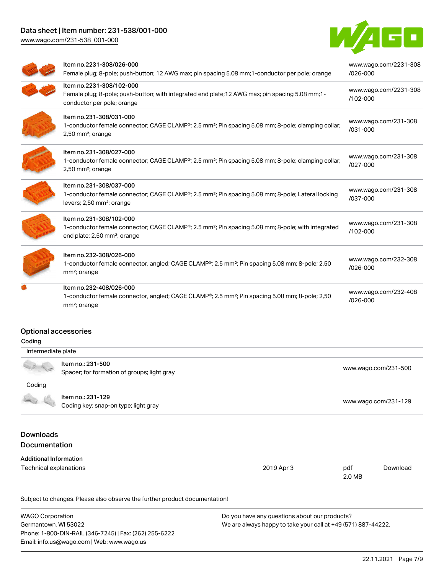## Data sheet | Item number: 231-538/001-000

[www.wago.com/231-538\\_001-000](http://www.wago.com/231-538_001-000)



| Item no.2231-308/026-000<br>Female plug; 8-pole; push-button; 12 AWG max; pin spacing 5.08 mm; 1-conductor per pole; orange                                                          | www.wago.com/2231-308<br>/026-000 |
|--------------------------------------------------------------------------------------------------------------------------------------------------------------------------------------|-----------------------------------|
| Item no.2231-308/102-000<br>Female plug; 8-pole; push-button; with integrated end plate; 12 AWG max; pin spacing 5.08 mm; 1-<br>conductor per pole; orange                           | www.wago.com/2231-308<br>/102-000 |
| Item no.231-308/031-000<br>1-conductor female connector; CAGE CLAMP®; 2.5 mm <sup>2</sup> ; Pin spacing 5.08 mm; 8-pole; clamping collar;<br>2,50 mm <sup>2</sup> ; orange           | www.wago.com/231-308<br>/031-000  |
| Item no.231-308/027-000<br>1-conductor female connector; CAGE CLAMP®; 2.5 mm <sup>2</sup> ; Pin spacing 5.08 mm; 8-pole; clamping collar;<br>$2,50$ mm <sup>2</sup> ; orange         | www.wago.com/231-308<br>/027-000  |
| Item no.231-308/037-000<br>1-conductor female connector; CAGE CLAMP®; 2.5 mm <sup>2</sup> ; Pin spacing 5.08 mm; 8-pole; Lateral locking<br>levers; 2,50 mm <sup>2</sup> ; orange    | www.wago.com/231-308<br>/037-000  |
| Item no.231-308/102-000<br>1-conductor female connector; CAGE CLAMP®; 2.5 mm <sup>2</sup> ; Pin spacing 5.08 mm; 8-pole; with integrated<br>end plate; 2,50 mm <sup>2</sup> ; orange | www.wago.com/231-308<br>/102-000  |
| Item no.232-308/026-000<br>1-conductor female connector, angled; CAGE CLAMP®; 2.5 mm <sup>2</sup> ; Pin spacing 5.08 mm; 8-pole; 2,50<br>mm <sup>2</sup> ; orange                    | www.wago.com/232-308<br>/026-000  |
| Item no.232-408/026-000<br>1-conductor female connector, angled; CAGE CLAMP®; 2.5 mm <sup>2</sup> ; Pin spacing 5.08 mm; 8-pole; 2,50<br>mm <sup>2</sup> ; orange                    | www.wago.com/232-408<br>/026-000  |

### Optional accessories

| ı |
|---|
|   |

| Intermediate plate |                                                                  |                      |
|--------------------|------------------------------------------------------------------|----------------------|
|                    | Item no.: 231-500<br>Spacer; for formation of groups; light gray | www.wago.com/231-500 |
| Coding             |                                                                  |                      |
|                    | Item no.: 231-129                                                | www.wago.com/231-129 |
|                    | Coding key; snap-on type; light gray                             |                      |

### Downloads Documentation

| <b>Additional Information</b> |
|-------------------------------|
|                               |

| Technical explanations | 2019 Apr 3 | pdf    | Download |
|------------------------|------------|--------|----------|
|                        |            | 2.0 MB |          |

| <b>WAGO Corporation</b>                                | Do you have any questions about our products?                 |
|--------------------------------------------------------|---------------------------------------------------------------|
| Germantown, WI 53022                                   | We are always happy to take your call at +49 (571) 887-44222. |
| Phone: 1-800-DIN-RAIL (346-7245)   Fax: (262) 255-6222 |                                                               |
| Email: info.us@wago.com   Web: www.wago.us             |                                                               |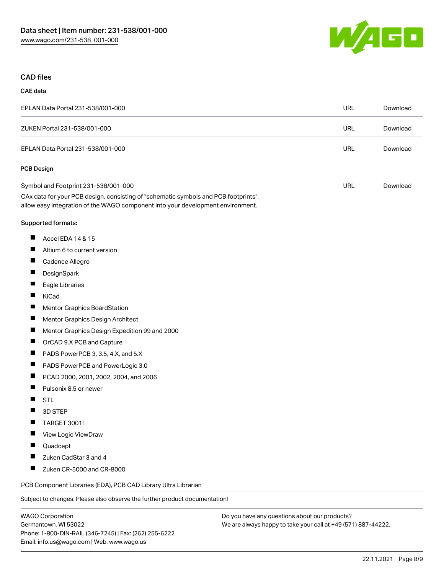

#### CAD files

#### CAE data

| EPLAN Data Portal 231-538/001-000                                                                                                                                                                              | URL | Download |
|----------------------------------------------------------------------------------------------------------------------------------------------------------------------------------------------------------------|-----|----------|
| ZUKEN Portal 231-538/001-000                                                                                                                                                                                   | URL | Download |
| EPLAN Data Portal 231-538/001-000                                                                                                                                                                              | URL | Download |
| <b>PCB Design</b>                                                                                                                                                                                              |     |          |
| Symbol and Footprint 231-538/001-000<br>CAx data for your PCB design, consisting of "schematic symbols and PCB footprints",<br>allow easy integration of the WAGO component into your development environment. | URL | Download |
|                                                                                                                                                                                                                |     |          |

#### Supported formats:

- $\blacksquare$ Accel EDA 14 & 15
- $\blacksquare$ Altium 6 to current version
- $\blacksquare$ Cadence Allegro
- $\blacksquare$ **DesignSpark**
- $\blacksquare$ Eagle Libraries
- $\blacksquare$ KiCad
- $\blacksquare$ Mentor Graphics BoardStation
- $\blacksquare$ Mentor Graphics Design Architect
- $\blacksquare$ Mentor Graphics Design Expedition 99 and 2000
- $\blacksquare$ OrCAD 9.X PCB and Capture
- П PADS PowerPCB 3, 3.5, 4.X, and 5.X
- П PADS PowerPCB and PowerLogic 3.0
- $\blacksquare$ PCAD 2000, 2001, 2002, 2004, and 2006
- $\blacksquare$ Pulsonix 8.5 or newer
- П **STL**
- $\blacksquare$ 3D STEP
- П TARGET 3001!
- $\blacksquare$ View Logic ViewDraw
- $\blacksquare$ Quadcept
- П Zuken CadStar 3 and 4
- П Zuken CR-5000 and CR-8000

PCB Component Libraries (EDA), PCB CAD Library Ultra Librarian

Subject to changes. Please also observe the further product documentation!

WAGO Corporation Germantown, WI 53022 Phone: 1-800-DIN-RAIL (346-7245) | Fax: (262) 255-6222 Email: info.us@wago.com | Web: www.wago.us